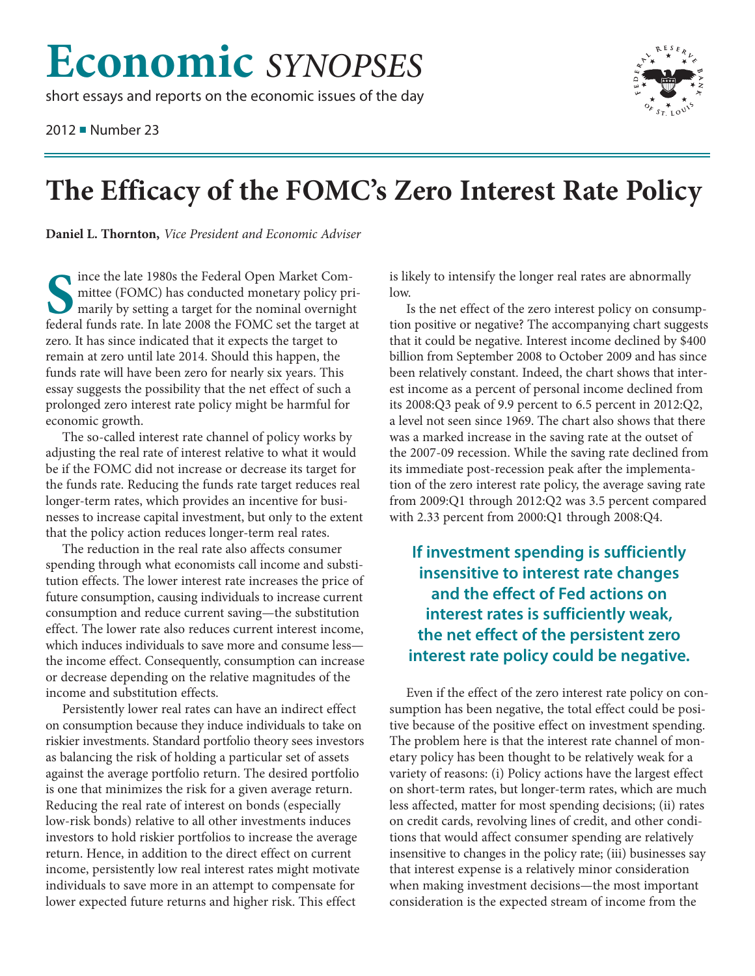## **Economic** *SYNOPSES*

short essays and reports on the economic issues of the day

2012 ■ Number 23



## **The Efficacy of the FOMC's Zero Interest Rate Policy**

**Daniel L. Thornton,** *Vice President and Economic Adviser*

**S** ince the late 1980s the Federal Open Market Com mittee (FOMC) has conducted monetary policy primarily by setting a target for the nominal overnight federal funds rate. In late 2008 the FOMC set the target at zero. It has since indicated that it expects the target to remain at zero until late 2014. Should this happen, the funds rate will have been zero for nearly six years. This essay suggests the possibility that the net effect of such a prolonged zero interest rate policy might be harmful for economic growth.

The so-called interest rate channel of policy works by adjusting the real rate of interest relative to what it would be if the FOMC did not increase or decrease its target for the funds rate. Reducing the funds rate target reduces real longer-term rates, which provides an incentive for businesses to increase capital investment, but only to the extent that the policy action reduces longer-term real rates.

The reduction in the real rate also affects consumer spending through what economists call income and substitution effects. The lower interest rate increases the price of future consumption, causing individuals to increase current consumption and reduce current saving—the substitution effect. The lower rate also reduces current interest income, which induces individuals to save more and consume less the income effect. Consequently, consumption can increase or decrease depending on the relative magnitudes of the income and substitution effects.

Persistently lower real rates can have an indirect effect on consumption because they induce individuals to take on riskier investments. Standard portfolio theory sees investors as balancing the risk of holding a particular set of assets against the average portfolio return. The desired portfolio is one that minimizes the risk for a given average return. Reducing the real rate of interest on bonds (especially low-risk bonds) relative to all other investments induces investors to hold riskier portfolios to increase the average return. Hence, in addition to the direct effect on current income, persistently low real interest rates might motivate individuals to save more in an attempt to compensate for lower expected future returns and higher risk. This effect

is likely to intensify the longer real rates are abnormally low.

Is the net effect of the zero interest policy on consumption positive or negative? The accompanying chart suggests that it could be negative. Interest income declined by \$400 billion from September 2008 to October 2009 and has since been relatively constant. Indeed, the chart shows that interest income as a percent of personal income declined from its 2008:Q3 peak of 9.9 percent to 6.5 percent in 2012:Q2, a level not seen since 1969. The chart also shows that there was a marked increase in the saving rate at the outset of the 2007-09 recession. While the saving rate declined from its immediate post-recession peak after the implementation of the zero interest rate policy, the average saving rate from 2009:Q1 through 2012:Q2 was 3.5 percent compared with 2.33 percent from 2000:Q1 through 2008:Q4.

**If investment spending is sufficiently insensitive to interest rate changes and the effect of Fed actions on interest rates is sufficiently weak, the net effect of the persistent zero interest rate policy could be negative.**

Even if the effect of the zero interest rate policy on consumption has been negative, the total effect could be positive because of the positive effect on investment spending. The problem here is that the interest rate channel of monetary policy has been thought to be relatively weak for a variety of reasons: (i) Policy actions have the largest effect on short-term rates, but longer-term rates, which are much less affected, matter for most spending decisions; (ii) rates on credit cards, revolving lines of credit, and other conditions that would affect consumer spending are relatively insensitive to changes in the policy rate; (iii) businesses say that interest expense is a relatively minor consideration when making investment decisions—the most important consideration is the expected stream of income from the